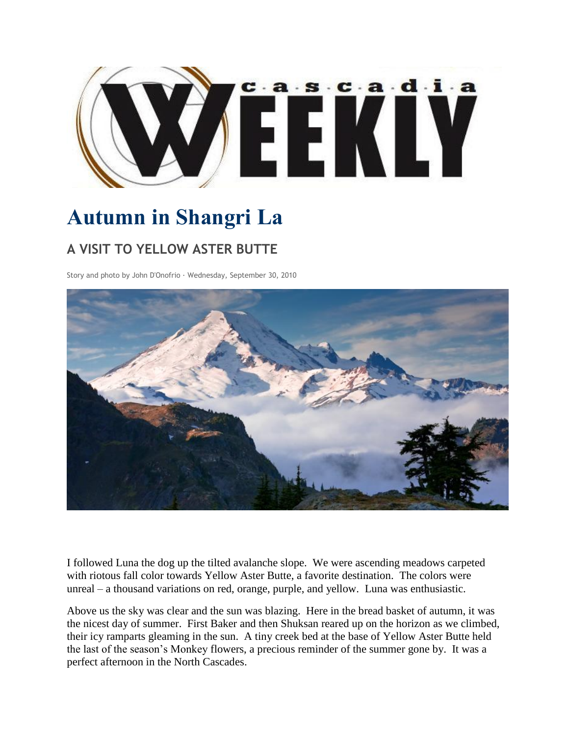

## **Autumn in Shangri La**

## **A VISIT TO YELLOW ASTER BUTTE**

Story and photo by John D'Onofrio · Wednesday, September 30, 2010



I followed Luna the dog up the tilted avalanche slope. We were ascending meadows carpeted with riotous fall color towards Yellow Aster Butte, a favorite destination. The colors were unreal – a thousand variations on red, orange, purple, and yellow. Luna was enthusiastic.

Above us the sky was clear and the sun was blazing. Here in the bread basket of autumn, it was the nicest day of summer. First Baker and then Shuksan reared up on the horizon as we climbed, their icy ramparts gleaming in the sun. A tiny creek bed at the base of Yellow Aster Butte held the last of the season's Monkey flowers, a precious reminder of the summer gone by. It was a perfect afternoon in the North Cascades.